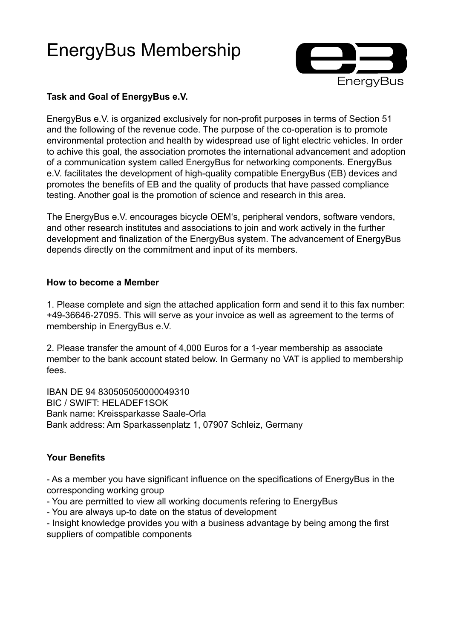# EnergyBus Membership



# **Task and Goal of EnergyBus e.V.**

EnergyBus e.V. is organized exclusively for non-profit purposes in terms of Section 51 and the following of the revenue code. The purpose of the co-operation is to promote environmental protection and health by widespread use of light electric vehicles. In order to achive this goal, the association promotes the international advancement and adoption of a communication system called EnergyBus for networking components. EnergyBus e.V. facilitates the development of high-quality compatible EnergyBus (EB) devices and promotes the benefits of EB and the quality of products that have passed compliance testing. Another goal is the promotion of science and research in this area.

The EnergyBus e.V. encourages bicycle OEM's, peripheral vendors, software vendors, and other research institutes and associations to join and work actively in the further development and finalization of the EnergyBus system. The advancement of EnergyBus depends directly on the commitment and input of its members.

### **How to become a Member**

1. Please complete and sign the attached application form and send it to this fax number: +49-36646-27095. This will serve as your invoice as well as agreement to the terms of membership in EnergyBus e.V.

2. Please transfer the amount of 4,000 Euros for a 1-year membership as associate member to the bank account stated below. In Germany no VAT is applied to membership fees.

IBAN DE 94 830505050000049310 BIC / SWIFT: HELADEF1SOK Bank name: Kreissparkasse Saale-Orla Bank address: Am Sparkassenplatz 1, 07907 Schleiz, Germany

## **Your Benefits**

- As a member you have significant influence on the specifications of EnergyBus in the corresponding working group

- You are permitted to view all working documents refering to EnergyBus
- You are always up-to date on the status of development

- Insight knowledge provides you with a business advantage by being among the first suppliers of compatible components